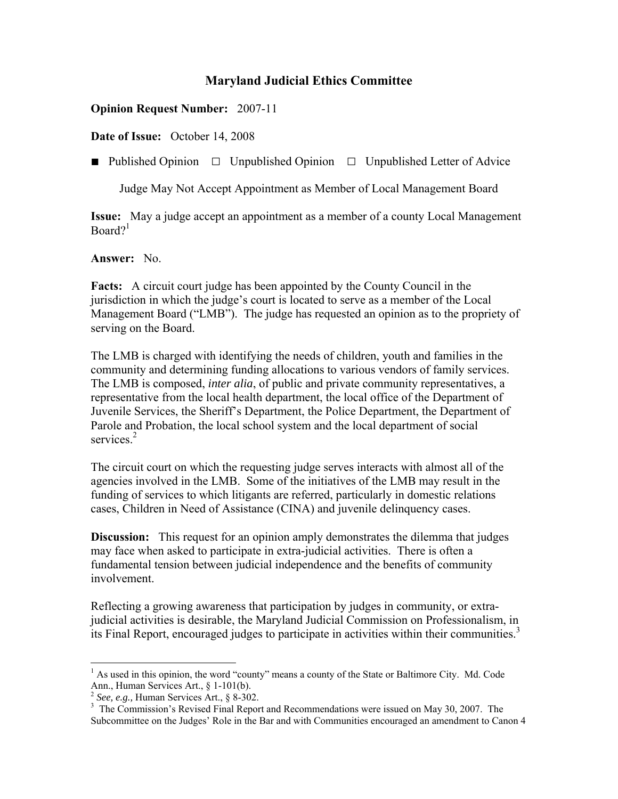## **Opinion Request Number:** 2007-11

**Date of Issue:** October 14, 2008

■ Published Opinion □ Unpublished Opinion □ Unpublished Letter of Advice

Judge May Not Accept Appointment as Member of Local Management Board

**Issue:** May a judge accept an appointment as a member of a county Local Management  $Board?$ <sup>1</sup>

### **Answer:** No.

**Facts:** A circuit court judge has been appointed by the County Council in the jurisdiction in which the judge's court is located to serve as a member of the Local Management Board ("LMB"). The judge has requested an opinion as to the propriety of serving on the Board.

The LMB is charged with identifying the needs of children, youth and families in the community and determining funding allocations to various vendors of family services. The LMB is composed, *inter alia*, of public and private community representatives, a representative from the local health department, the local office of the Department of Juvenile Services, the Sheriff's Department, the Police Department, the Department of Parole and Probation, the local school system and the local department of social services.<sup>2</sup>

The circuit court on which the requesting judge serves interacts with almost all of the agencies involved in the LMB. Some of the initiatives of the LMB may result in the funding of services to which litigants are referred, particularly in domestic relations cases, Children in Need of Assistance (CINA) and juvenile delinquency cases.

**Discussion:** This request for an opinion amply demonstrates the dilemma that judges may face when asked to participate in extra-judicial activities. There is often a fundamental tension between judicial independence and the benefits of community involvement.

Reflecting a growing awareness that participation by judges in community, or extrajudicial activities is desirable, the Maryland Judicial Commission on Professionalism, in its Final Report, encouraged judges to participate in activities within their communities.<sup>3</sup>

1

<sup>&</sup>lt;sup>1</sup> As used in this opinion, the word "county" means a county of the State or Baltimore City. Md. Code Ann., Human Services Art., § 1-101(b).

 $2$  *See, e.g.,* Human Services Art.,  $8\overline{)302}$ .

<sup>&</sup>lt;sup>3</sup> The Commission's Revised Final Report and Recommendations were issued on May 30, 2007. The Subcommittee on the Judges' Role in the Bar and with Communities encouraged an amendment to Canon 4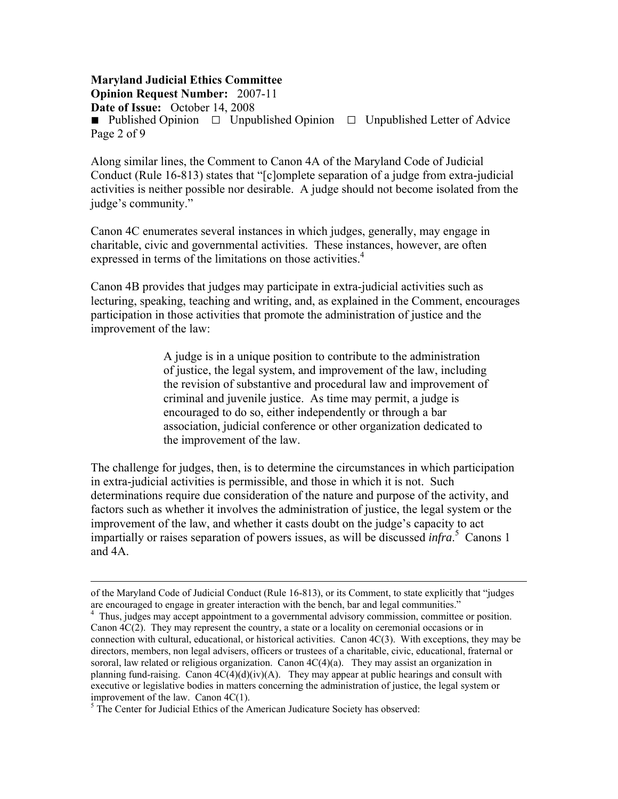# **Maryland Judicial Ethics Committee Opinion Request Number:** 2007-11

**Date of Issue:** October 14, 2008

■ Published Opinion □ Unpublished Opinion □ Unpublished Letter of Advice Page 2 of 9

Along similar lines, the Comment to Canon 4A of the Maryland Code of Judicial Conduct (Rule 16-813) states that "[c]omplete separation of a judge from extra-judicial activities is neither possible nor desirable. A judge should not become isolated from the judge's community."

Canon 4C enumerates several instances in which judges, generally, may engage in charitable, civic and governmental activities. These instances, however, are often expressed in terms of the limitations on those activities.<sup>4</sup>

Canon 4B provides that judges may participate in extra-judicial activities such as lecturing, speaking, teaching and writing, and, as explained in the Comment, encourages participation in those activities that promote the administration of justice and the improvement of the law:

> A judge is in a unique position to contribute to the administration of justice, the legal system, and improvement of the law, including the revision of substantive and procedural law and improvement of criminal and juvenile justice. As time may permit, a judge is encouraged to do so, either independently or through a bar association, judicial conference or other organization dedicated to the improvement of the law.

The challenge for judges, then, is to determine the circumstances in which participation in extra-judicial activities is permissible, and those in which it is not. Such determinations require due consideration of the nature and purpose of the activity, and factors such as whether it involves the administration of justice, the legal system or the improvement of the law, and whether it casts doubt on the judge's capacity to act impartially or raises separation of powers issues, as will be discussed *infra*. 5 Canons 1 and 4A.

of the Maryland Code of Judicial Conduct (Rule 16-813), or its Comment, to state explicitly that "judges are encouraged to engage in greater interaction with the bench, bar and legal communities." 4

<sup>&</sup>lt;sup>4</sup> Thus, judges may accept appointment to a governmental advisory commission, committee or position. Canon 4C(2). They may represent the country, a state or a locality on ceremonial occasions or in connection with cultural, educational, or historical activities. Canon  $4C(3)$ . With exceptions, they may be directors, members, non legal advisers, officers or trustees of a charitable, civic, educational, fraternal or sororal, law related or religious organization. Canon  $4C(4)(a)$ . They may assist an organization in planning fund-raising. Canon  $4C(4)(d)(iv)(A)$ . They may appear at public hearings and consult with executive or legislative bodies in matters concerning the administration of justice, the legal system or improvement of the law. Canon 4C(1).

 $<sup>5</sup>$  The Center for Judicial Ethics of the American Judicature Society has observed:</sup>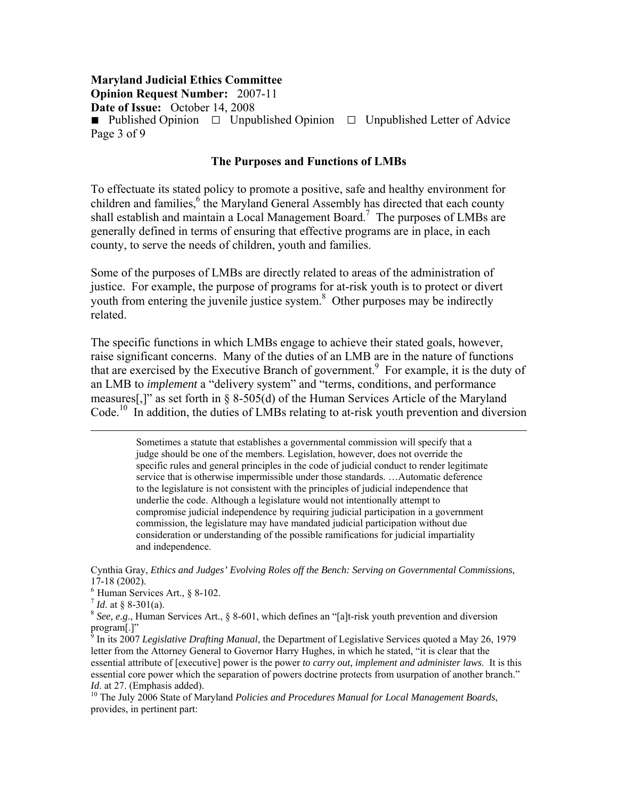**Opinion Request Number:** 2007-11

**Date of Issue:** October 14, 2008

■ Published Opinion □ Unpublished Opinion □ Unpublished Letter of Advice Page 3 of 9

#### **The Purposes and Functions of LMBs**

To effectuate its stated policy to promote a positive, safe and healthy environment for children and families,<sup>6</sup> the Maryland General Assembly has directed that each county shall establish and maintain a Local Management Board.<sup>7</sup> The purposes of LMBs are generally defined in terms of ensuring that effective programs are in place, in each county, to serve the needs of children, youth and families.

Some of the purposes of LMBs are directly related to areas of the administration of justice. For example, the purpose of programs for at-risk youth is to protect or divert youth from entering the juvenile justice system.<sup>8</sup> Other purposes may be indirectly related.

The specific functions in which LMBs engage to achieve their stated goals, however, raise significant concerns. Many of the duties of an LMB are in the nature of functions that are exercised by the Executive Branch of government.<sup>9</sup> For example, it is the duty of an LMB to *implement* a "delivery system" and "terms, conditions, and performance measures[,]" as set forth in § 8-505(d) of the Human Services Article of the Maryland Code.<sup>10</sup> In addition, the duties of LMBs relating to at-risk youth prevention and diversion

> Sometimes a statute that establishes a governmental commission will specify that a judge should be one of the members. Legislation, however, does not override the specific rules and general principles in the code of judicial conduct to render legitimate service that is otherwise impermissible under those standards. …Automatic deference to the legislature is not consistent with the principles of judicial independence that underlie the code. Although a legislature would not intentionally attempt to compromise judicial independence by requiring judicial participation in a government commission, the legislature may have mandated judicial participation without due consideration or understanding of the possible ramifications for judicial impartiality and independence.

Cynthia Gray, *Ethics and Judges' Evolving Roles off the Bench: Serving on Governmental Commissions*, 17-18 (2002).

<sup>6</sup> Human Services Art., § 8-102.<br> $\frac{7}{1}$  *Id.* at § 8-301(a).

<sup>8</sup> See, e.g., Human Services Art., § 8-601, which defines an "[a]t-risk youth prevention and diversion program[.]"

9 In its 2007 *Legislative Drafting Manual*, the Department of Legislative Services quoted a May 26, 1979 letter from the Attorney General to Governor Harry Hughes, in which he stated, "it is clear that the essential attribute of [executive] power is the power *to carry out, implement and administer laws*. It is this essential core power which the separation of powers doctrine protects from usurpation of another branch." *Id.* at 27. (Emphasis added).<br><sup>10</sup> The July 2006 State of Maryland *Policies and Procedures Manual for Local Management Boards*,

provides, in pertinent part: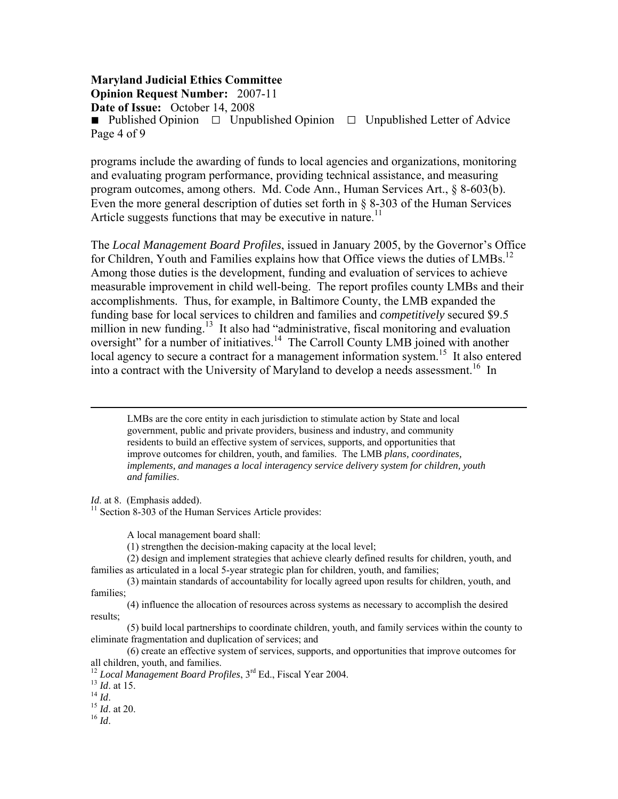## **Maryland Judicial Ethics Committee Opinion Request Number:** 2007-11 **Date of Issue:** October 14, 2008 ■ Published Opinion □ Unpublished Opinion □ Unpublished Letter of Advice Page 4 of 9

programs include the awarding of funds to local agencies and organizations, monitoring and evaluating program performance, providing technical assistance, and measuring program outcomes, among others. Md. Code Ann., Human Services Art., § 8-603(b). Even the more general description of duties set forth in § 8-303 of the Human Services Article suggests functions that may be executive in nature.<sup>11</sup>

The *Local Management Board Profiles*, issued in January 2005, by the Governor's Office for Children, Youth and Families explains how that Office views the duties of LMBs.<sup>12</sup> Among those duties is the development, funding and evaluation of services to achieve measurable improvement in child well-being. The report profiles county LMBs and their accomplishments. Thus, for example, in Baltimore County, the LMB expanded the funding base for local services to children and families and *competitively* secured \$9.5 million in new funding.<sup>13</sup> It also had "administrative, fiscal monitoring and evaluation oversight" for a number of initiatives.<sup>14</sup> The Carroll County LMB joined with another local agency to secure a contract for a management information system.<sup>15</sup> It also entered into a contract with the University of Maryland to develop a needs assessment.<sup>16</sup> In

 LMBs are the core entity in each jurisdiction to stimulate action by State and local government, public and private providers, business and industry, and community residents to build an effective system of services, supports, and opportunities that improve outcomes for children, youth, and families. The LMB *plans, coordinates, implements, and manages a local interagency service delivery system for children, youth and families*.

*Id.* at 8. (Emphasis added). <sup>11</sup> Section 8-303 of the Human Services Article provides:

A local management board shall:

(1) strengthen the decision-making capacity at the local level;

 (2) design and implement strategies that achieve clearly defined results for children, youth, and families as articulated in a local 5-year strategic plan for children, youth, and families;

 (3) maintain standards of accountability for locally agreed upon results for children, youth, and families;

 (4) influence the allocation of resources across systems as necessary to accomplish the desired results;

 (5) build local partnerships to coordinate children, youth, and family services within the county to eliminate fragmentation and duplication of services; and

 (6) create an effective system of services, supports, and opportunities that improve outcomes for all children, youth, and families.

<sup>12</sup> *Local Management Board Profiles*, 3<sup>rd</sup> Ed., Fiscal Year 2004.<br><sup>13</sup> *Id.* at 15.<br><sup>14</sup> *Id.* 15 *Id.* at 20.<br><sup>16</sup> *Id*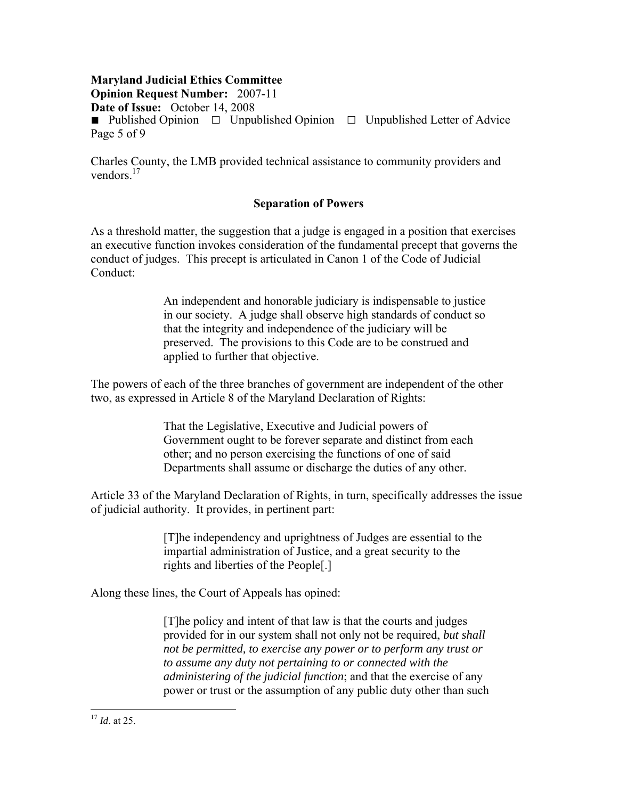**Opinion Request Number:** 2007-11 **Date of Issue:** October 14, 2008

■ Published Opinion □ Unpublished Opinion □ Unpublished Letter of Advice Page 5 of 9

Charles County, the LMB provided technical assistance to community providers and vendors $17$ 

## **Separation of Powers**

As a threshold matter, the suggestion that a judge is engaged in a position that exercises an executive function invokes consideration of the fundamental precept that governs the conduct of judges. This precept is articulated in Canon 1 of the Code of Judicial Conduct:

> An independent and honorable judiciary is indispensable to justice in our society. A judge shall observe high standards of conduct so that the integrity and independence of the judiciary will be preserved. The provisions to this Code are to be construed and applied to further that objective.

The powers of each of the three branches of government are independent of the other two, as expressed in Article 8 of the Maryland Declaration of Rights:

> That the Legislative, Executive and Judicial powers of Government ought to be forever separate and distinct from each other; and no person exercising the functions of one of said Departments shall assume or discharge the duties of any other.

Article 33 of the Maryland Declaration of Rights, in turn, specifically addresses the issue of judicial authority. It provides, in pertinent part:

> [T]he independency and uprightness of Judges are essential to the impartial administration of Justice, and a great security to the rights and liberties of the People[.]

Along these lines, the Court of Appeals has opined:

[T]he policy and intent of that law is that the courts and judges provided for in our system shall not only not be required, *but shall not be permitted, to exercise any power or to perform any trust or to assume any duty not pertaining to or connected with the administering of the judicial function*; and that the exercise of any power or trust or the assumption of any public duty other than such

<sup>17</sup> *Id*. at 25.

 $\overline{a}$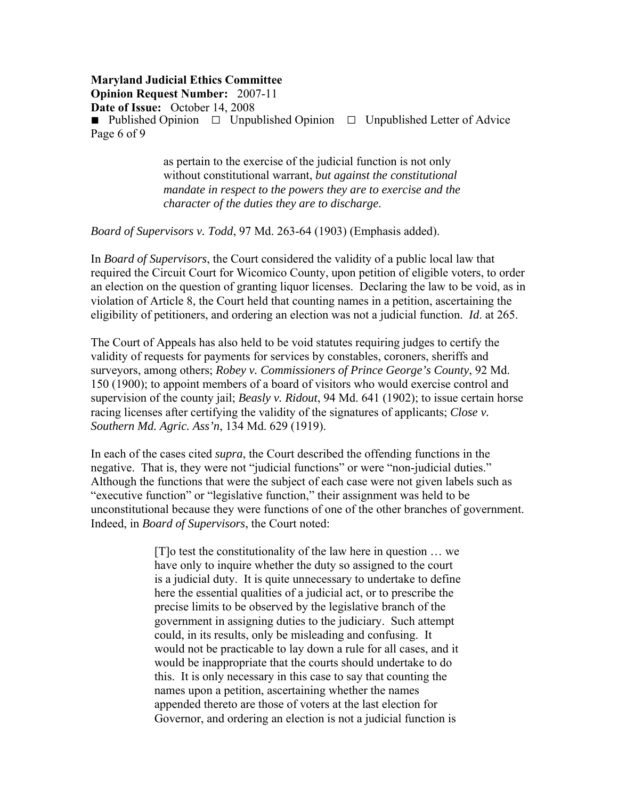**Opinion Request Number:** 2007-11

**Date of Issue:** October 14, 2008

**■** Published Opinion □Unpublished Opinion □Unpublished Letter of Advice Page 6 of 9

> as pertain to the exercise of the judicial function is not only without constitutional warrant, *but against the constitutional mandate in respect to the powers they are to exercise and the character of the duties they are to discharge*.

*Board of Supervisors v. Todd*, 97 Md. 263-64 (1903) (Emphasis added).

In *Board of Supervisors*, the Court considered the validity of a public local law that required the Circuit Court for Wicomico County, upon petition of eligible voters, to order an election on the question of granting liquor licenses. Declaring the law to be void, as in violation of Article 8, the Court held that counting names in a petition, ascertaining the eligibility of petitioners, and ordering an election was not a judicial function. *Id*. at 265.

The Court of Appeals has also held to be void statutes requiring judges to certify the validity of requests for payments for services by constables, coroners, sheriffs and surveyors, among others; *Robey v. Commissioners of Prince George's County*, 92 Md. 150 (1900); to appoint members of a board of visitors who would exercise control and supervision of the county jail; *Beasly v. Ridout*, 94 Md. 641 (1902); to issue certain horse racing licenses after certifying the validity of the signatures of applicants; *Close v. Southern Md. Agric. Ass'n*, 134 Md. 629 (1919).

In each of the cases cited *supra*, the Court described the offending functions in the negative. That is, they were not "judicial functions" or were "non-judicial duties." Although the functions that were the subject of each case were not given labels such as "executive function" or "legislative function," their assignment was held to be unconstitutional because they were functions of one of the other branches of government. Indeed, in *Board of Supervisors*, the Court noted:

> [T]o test the constitutionality of the law here in question … we have only to inquire whether the duty so assigned to the court is a judicial duty. It is quite unnecessary to undertake to define here the essential qualities of a judicial act, or to prescribe the precise limits to be observed by the legislative branch of the government in assigning duties to the judiciary. Such attempt could, in its results, only be misleading and confusing. It would not be practicable to lay down a rule for all cases, and it would be inappropriate that the courts should undertake to do this. It is only necessary in this case to say that counting the names upon a petition, ascertaining whether the names appended thereto are those of voters at the last election for Governor, and ordering an election is not a judicial function is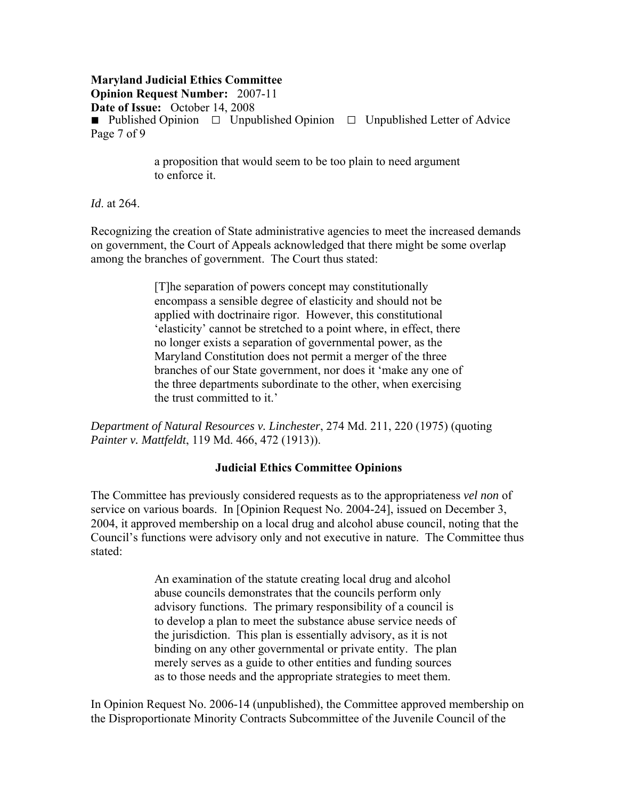**Opinion Request Number:** 2007-11 **Date of Issue:** October 14, 2008 **■** Published Opinion □Unpublished Opinion □Unpublished Letter of Advice Page 7 of 9

> a proposition that would seem to be too plain to need argument to enforce it.

*Id*. at 264.

Recognizing the creation of State administrative agencies to meet the increased demands on government, the Court of Appeals acknowledged that there might be some overlap among the branches of government. The Court thus stated:

> [T]he separation of powers concept may constitutionally encompass a sensible degree of elasticity and should not be applied with doctrinaire rigor. However, this constitutional 'elasticity' cannot be stretched to a point where, in effect, there no longer exists a separation of governmental power, as the Maryland Constitution does not permit a merger of the three branches of our State government, nor does it 'make any one of the three departments subordinate to the other, when exercising the trust committed to it.'

*Department of Natural Resources v. Linchester*, 274 Md. 211, 220 (1975) (quoting *Painter v. Mattfeldt*, 119 Md. 466, 472 (1913)).

# **Judicial Ethics Committee Opinions**

The Committee has previously considered requests as to the appropriateness *vel non* of service on various boards. In [Opinion Request No. 2004-24], issued on December 3, 2004, it approved membership on a local drug and alcohol abuse council, noting that the Council's functions were advisory only and not executive in nature. The Committee thus stated:

> An examination of the statute creating local drug and alcohol abuse councils demonstrates that the councils perform only advisory functions. The primary responsibility of a council is to develop a plan to meet the substance abuse service needs of the jurisdiction. This plan is essentially advisory, as it is not binding on any other governmental or private entity. The plan merely serves as a guide to other entities and funding sources as to those needs and the appropriate strategies to meet them.

In Opinion Request No. 2006-14 (unpublished), the Committee approved membership on the Disproportionate Minority Contracts Subcommittee of the Juvenile Council of the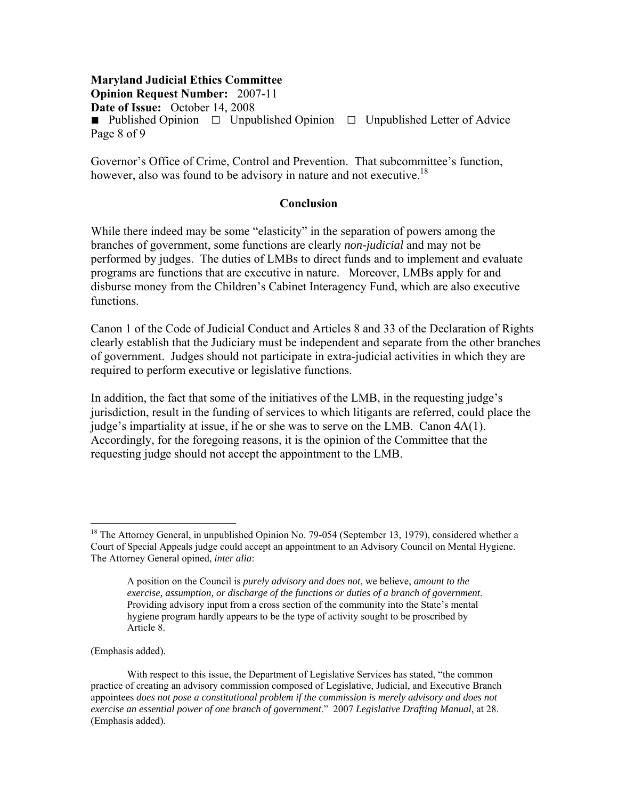## **Maryland Judicial Ethics Committee Opinion Request Number:** 2007-11 **Date of Issue:** October 14, 2008 ■ Published Opinion □ Unpublished Opinion □ Unpublished Letter of Advice Page 8 of 9

Governor's Office of Crime, Control and Prevention. That subcommittee's function, however, also was found to be advisory in nature and not executive.<sup>18</sup>

#### **Conclusion**

While there indeed may be some "elasticity" in the separation of powers among the branches of government, some functions are clearly *non-judicial* and may not be performed by judges. The duties of LMBs to direct funds and to implement and evaluate programs are functions that are executive in nature. Moreover, LMBs apply for and disburse money from the Children's Cabinet Interagency Fund, which are also executive functions.

Canon 1 of the Code of Judicial Conduct and Articles 8 and 33 of the Declaration of Rights clearly establish that the Judiciary must be independent and separate from the other branches of government. Judges should not participate in extra-judicial activities in which they are required to perform executive or legislative functions.

In addition, the fact that some of the initiatives of the LMB, in the requesting judge's jurisdiction, result in the funding of services to which litigants are referred, could place the judge's impartiality at issue, if he or she was to serve on the LMB. Canon 4A(1). Accordingly, for the foregoing reasons, it is the opinion of the Committee that the requesting judge should not accept the appointment to the LMB.

(Emphasis added).

 $\overline{a}$ 

<sup>&</sup>lt;sup>18</sup> The Attorney General, in unpublished Opinion No. 79-054 (September 13, 1979), considered whether a Court of Special Appeals judge could accept an appointment to an Advisory Council on Mental Hygiene. The Attorney General opined, *inter alia*:

A position on the Council is *purely advisory and does not*, we believe, *amount to the exercise, assumption, or discharge of the functions or duties of a branch of government*. Providing advisory input from a cross section of the community into the State's mental hygiene program hardly appears to be the type of activity sought to be proscribed by Article 8.

With respect to this issue, the Department of Legislative Services has stated, "the common practice of creating an advisory commission composed of Legislative, Judicial, and Executive Branch appointees *does not pose a constitutional problem if the commission is merely advisory and does not exercise an essential power of one branch of government*." 2007 *Legislative Drafting Manual*, at 28. (Emphasis added).